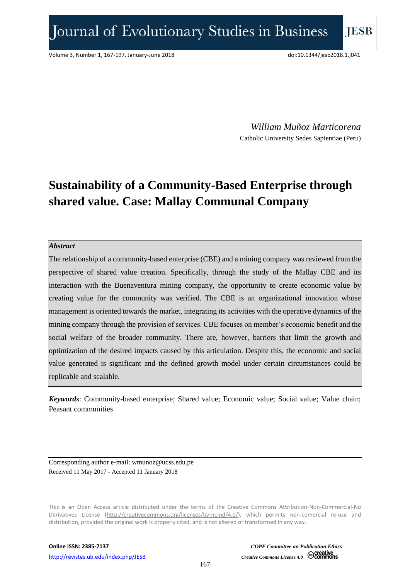*William Muñoz Marticorena* Catholic University Sedes Sapientiae (Peru)

## **Sustainability of a Community-Based Enterprise through shared value. Case: Mallay Communal Company**

#### *Abstract*

The relationship of a community-based enterprise (CBE) and a mining company was reviewed from the perspective of shared value creation. Specifically, through the study of the Mallay CBE and its interaction with the Buenaventura mining company, the opportunity to create economic value by creating value for the community was verified. The CBE is an organizational innovation whose management is oriented towards the market, integrating its activities with the operative dynamics of the mining company through the provision of services. CBE focuses on member's economic benefit and the social welfare of the broader community. There are, however, barriers that limit the growth and optimization of the desired impacts caused by this articulation. Despite this, the economic and social value generated is significant and the defined growth model under certain circumstances could be replicable and scalable.

*Keywords*: Community-based enterprise; Shared value; Economic value; Social value; Value chain; Peasant communities

Corresponding author e-mail: wmunoz@ucss.edu.pe Received 11 May 2017 - Accepted 11 January 2018

This is an Open Access article distributed under the terms of the Creative Commons Attribution-Non-Commercial-No Derivatives License [\(http://creativecommons.org/licenses/by-nc-nd/4.0/\)](http://creativecommons.org/licenses/by-nc-nd/4.0/), which permits non-comercial re-use and distribution, provided the original work is properly cited, and is not altered or transformed in any way.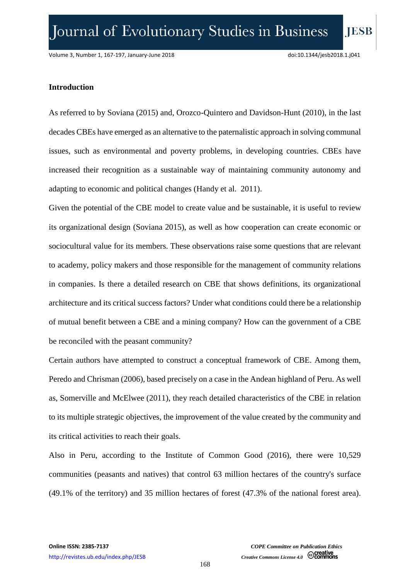**IESB** 

### **Introduction**

As referred to by Soviana (2015) and, Orozco-Quintero and Davidson-Hunt (2010), in the last decades CBEs have emerged as an alternative to the paternalistic approach in solving communal issues, such as environmental and poverty problems, in developing countries. CBEs have increased their recognition as a sustainable way of maintaining community autonomy and adapting to economic and political changes (Handy et al. 2011).

Given the potential of the CBE model to create value and be sustainable, it is useful to review its organizational design (Soviana 2015), as well as how cooperation can create economic or sociocultural value for its members. These observations raise some questions that are relevant to academy, policy makers and those responsible for the management of community relations in companies. Is there a detailed research on CBE that shows definitions, its organizational architecture and its critical success factors? Under what conditions could there be a relationship of mutual benefit between a CBE and a mining company? How can the government of a CBE be reconciled with the peasant community?

Certain authors have attempted to construct a conceptual framework of CBE. Among them, Peredo and Chrisman (2006), based precisely on a case in the Andean highland of Peru. As well as, Somerville and McElwee (2011), they reach detailed characteristics of the CBE in relation to its multiple strategic objectives, the improvement of the value created by the community and its critical activities to reach their goals.

Also in Peru, according to the Institute of Common Good (2016), there were 10,529 communities (peasants and natives) that control 63 million hectares of the country's surface (49.1% of the territory) and 35 million hectares of forest (47.3% of the national forest area).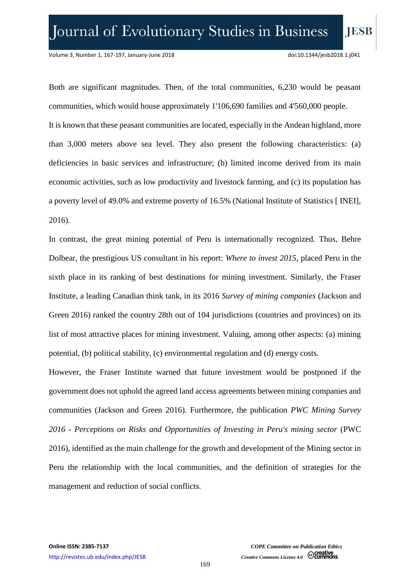Both are significant magnitudes. Then, of the total communities, 6,230 would be peasant communities, which would house approximately 1'106,690 families and 4'560,000 people. It is known that these peasant communities are located, especially in the Andean highland, more than 3,000 meters above sea level. They also present the following characteristics: (a) deficiencies in basic services and infrastructure; (b) limited income derived from its main economic activities, such as low productivity and livestock farming, and (c) its population has a poverty level of 49.0% and extreme poverty of 16.5% (National Institute of Statistics [ INEI], 2016).

In contrast, the great mining potential of Peru is internationally recognized. Thus, Behre Dolbear, the prestigious US consultant in his report: *Where to invest 2015*, placed Peru in the sixth place in its ranking of best destinations for mining investment. Similarly, the Fraser Institute, a leading Canadian think tank, in its 2016 *Survey of mining companies* (Jackson and Green 2016) ranked the country 28th out of 104 jurisdictions (countries and provinces) on its list of most attractive places for mining investment. Valuing, among other aspects: (a) mining potential, (b) political stability, (c) environmental regulation and (d) energy costs.

However, the Fraser Institute warned that future investment would be postponed if the government does not uphold the agreed land access agreements between mining companies and communities (Jackson and Green 2016). Furthermore, the publication *PWC Mining Survey 2016 - Perceptions on Risks and Opportunities of Investing in Peru's mining sector* (PWC 2016), identified as the main challenge for the growth and development of the Mining sector in Peru the relationship with the local communities, and the definition of strategies for the management and reduction of social conflicts.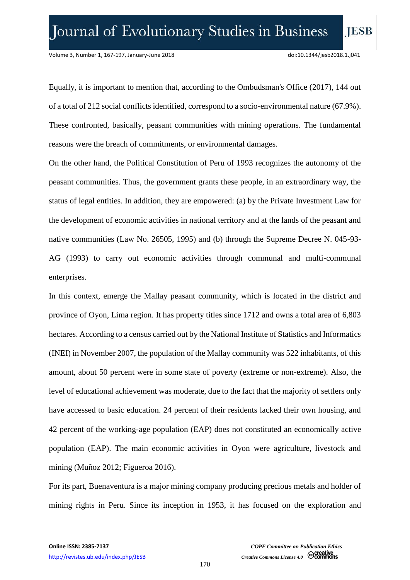Equally, it is important to mention that, according to the Ombudsman's Office (2017), 144 out of a total of 212 social conflicts identified, correspond to a socio-environmental nature (67.9%). These confronted, basically, peasant communities with mining operations. The fundamental reasons were the breach of commitments, or environmental damages.

On the other hand, the Political Constitution of Peru of 1993 recognizes the autonomy of the peasant communities. Thus, the government grants these people, in an extraordinary way, the status of legal entities. In addition, they are empowered: (a) by the Private Investment Law for the development of economic activities in national territory and at the lands of the peasant and native communities (Law No. 26505, 1995) and (b) through the Supreme Decree N. 045-93- AG (1993) to carry out economic activities through communal and multi-communal enterprises.

In this context, emerge the Mallay peasant community, which is located in the district and province of Oyon, Lima region. It has property titles since 1712 and owns a total area of 6,803 hectares. According to a census carried out by the National Institute of Statistics and Informatics (INEI) in November 2007, the population of the Mallay community was 522 inhabitants, of this amount, about 50 percent were in some state of poverty (extreme or non-extreme). Also, the level of educational achievement was moderate, due to the fact that the majority of settlers only have accessed to basic education. 24 percent of their residents lacked their own housing, and 42 percent of the working-age population (EAP) does not constituted an economically active population (EAP). The main economic activities in Oyon were agriculture, livestock and mining (Muñoz 2012; Figueroa 2016).

For its part, Buenaventura is a major mining company producing precious metals and holder of mining rights in Peru. Since its inception in 1953, it has focused on the exploration and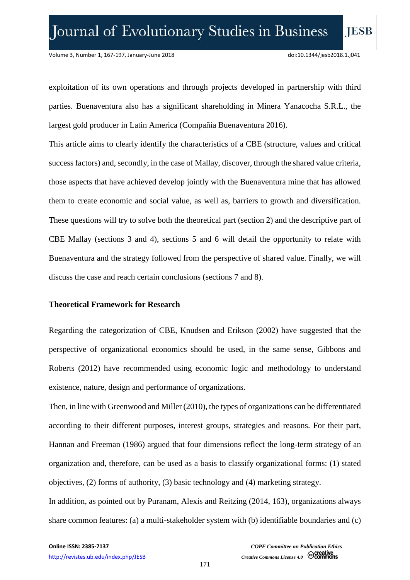exploitation of its own operations and through projects developed in partnership with third parties. Buenaventura also has a significant shareholding in Minera Yanacocha S.R.L., the largest gold producer in Latin America (Compañía Buenaventura 2016).

This article aims to clearly identify the characteristics of a CBE (structure, values and critical success factors) and, secondly, in the case of Mallay, discover, through the shared value criteria, those aspects that have achieved develop jointly with the Buenaventura mine that has allowed them to create economic and social value, as well as, barriers to growth and diversification. These questions will try to solve both the theoretical part (section 2) and the descriptive part of CBE Mallay (sections 3 and 4), sections 5 and 6 will detail the opportunity to relate with Buenaventura and the strategy followed from the perspective of shared value. Finally, we will discuss the case and reach certain conclusions (sections 7 and 8).

#### **Theoretical Framework for Research**

Regarding the categorization of CBE, Knudsen and Erikson (2002) have suggested that the perspective of organizational economics should be used, in the same sense, Gibbons and Roberts (2012) have recommended using economic logic and methodology to understand existence, nature, design and performance of organizations.

Then, in line with Greenwood and Miller (2010), the types of organizations can be differentiated according to their different purposes, interest groups, strategies and reasons. For their part, Hannan and Freeman (1986) argued that four dimensions reflect the long-term strategy of an organization and, therefore, can be used as a basis to classify organizational forms: (1) stated objectives, (2) forms of authority, (3) basic technology and (4) marketing strategy.

In addition, as pointed out by Puranam, Alexis and Reitzing (2014, 163), organizations always share common features: (a) a multi-stakeholder system with (b) identifiable boundaries and (c)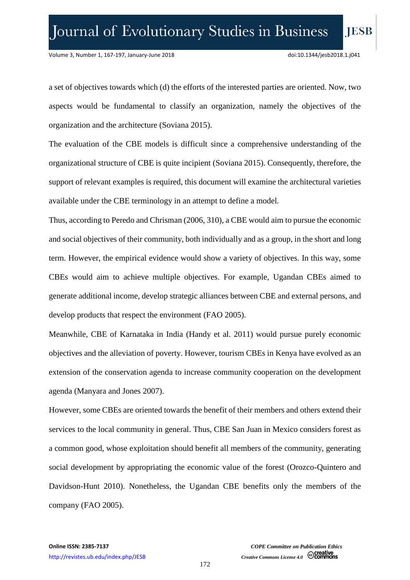a set of objectives towards which (d) the efforts of the interested parties are oriented. Now, two aspects would be fundamental to classify an organization, namely the objectives of the organization and the architecture (Soviana 2015).

The evaluation of the CBE models is difficult since a comprehensive understanding of the organizational structure of CBE is quite incipient (Soviana 2015). Consequently, therefore, the support of relevant examples is required, this document will examine the architectural varieties available under the CBE terminology in an attempt to define a model.

Thus, according to Peredo and Chrisman (2006, 310), a CBE would aim to pursue the economic and social objectives of their community, both individually and as a group, in the short and long term. However, the empirical evidence would show a variety of objectives. In this way, some CBEs would aim to achieve multiple objectives. For example, Ugandan CBEs aimed to generate additional income, develop strategic alliances between CBE and external persons, and develop products that respect the environment (FAO 2005).

Meanwhile, CBE of Karnataka in India (Handy et al. 2011) would pursue purely economic objectives and the alleviation of poverty. However, tourism CBEs in Kenya have evolved as an extension of the conservation agenda to increase community cooperation on the development agenda (Manyara and Jones 2007).

However, some CBEs are oriented towards the benefit of their members and others extend their services to the local community in general. Thus, CBE San Juan in Mexico considers forest as a common good, whose exploitation should benefit all members of the community, generating social development by appropriating the economic value of the forest (Orozco-Quintero and Davidson-Hunt 2010). Nonetheless, the Ugandan CBE benefits only the members of the company (FAO 2005).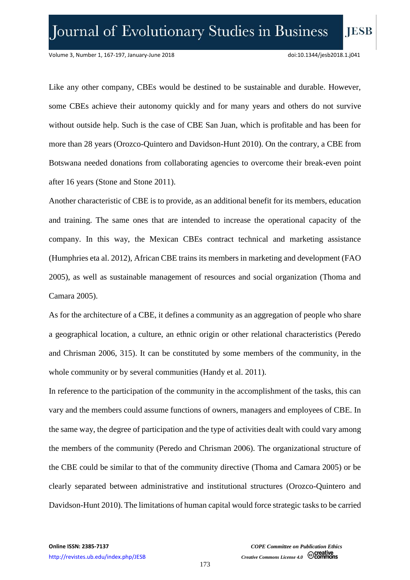Like any other company, CBEs would be destined to be sustainable and durable. However, some CBEs achieve their autonomy quickly and for many years and others do not survive without outside help. Such is the case of CBE San Juan, which is profitable and has been for more than 28 years (Orozco-Quintero and Davidson-Hunt 2010). On the contrary, a CBE from Botswana needed donations from collaborating agencies to overcome their break-even point after 16 years (Stone and Stone 2011).

Another characteristic of CBE is to provide, as an additional benefit for its members, education and training. The same ones that are intended to increase the operational capacity of the company. In this way, the Mexican CBEs contract technical and marketing assistance (Humphries eta al. 2012), African CBE trains its members in marketing and development (FAO 2005), as well as sustainable management of resources and social organization (Thoma and Camara 2005).

As for the architecture of a CBE, it defines a community as an aggregation of people who share a geographical location, a culture, an ethnic origin or other relational characteristics (Peredo and Chrisman 2006, 315). It can be constituted by some members of the community, in the whole community or by several communities (Handy et al. 2011).

In reference to the participation of the community in the accomplishment of the tasks, this can vary and the members could assume functions of owners, managers and employees of CBE. In the same way, the degree of participation and the type of activities dealt with could vary among the members of the community (Peredo and Chrisman 2006). The organizational structure of the CBE could be similar to that of the community directive (Thoma and Camara 2005) or be clearly separated between administrative and institutional structures (Orozco-Quintero and Davidson-Hunt 2010). The limitations of human capital would force strategic tasks to be carried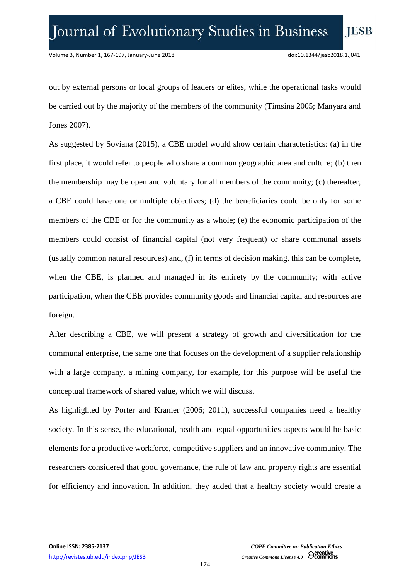out by external persons or local groups of leaders or elites, while the operational tasks would be carried out by the majority of the members of the community (Timsina 2005; Manyara and Jones 2007).

As suggested by Soviana (2015), a CBE model would show certain characteristics: (a) in the first place, it would refer to people who share a common geographic area and culture; (b) then the membership may be open and voluntary for all members of the community; (c) thereafter, a CBE could have one or multiple objectives; (d) the beneficiaries could be only for some members of the CBE or for the community as a whole; (e) the economic participation of the members could consist of financial capital (not very frequent) or share communal assets (usually common natural resources) and, (f) in terms of decision making, this can be complete, when the CBE, is planned and managed in its entirety by the community; with active participation, when the CBE provides community goods and financial capital and resources are foreign.

After describing a CBE, we will present a strategy of growth and diversification for the communal enterprise, the same one that focuses on the development of a supplier relationship with a large company, a mining company, for example, for this purpose will be useful the conceptual framework of shared value, which we will discuss.

As highlighted by Porter and Kramer (2006; 2011), successful companies need a healthy society. In this sense, the educational, health and equal opportunities aspects would be basic elements for a productive workforce, competitive suppliers and an innovative community. The researchers considered that good governance, the rule of law and property rights are essential for efficiency and innovation. In addition, they added that a healthy society would create a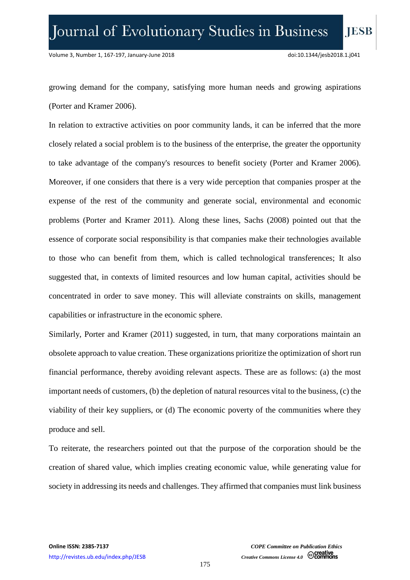growing demand for the company, satisfying more human needs and growing aspirations (Porter and Kramer 2006).

In relation to extractive activities on poor community lands, it can be inferred that the more closely related a social problem is to the business of the enterprise, the greater the opportunity to take advantage of the company's resources to benefit society (Porter and Kramer 2006). Moreover, if one considers that there is a very wide perception that companies prosper at the expense of the rest of the community and generate social, environmental and economic problems (Porter and Kramer 2011). Along these lines, Sachs (2008) pointed out that the essence of corporate social responsibility is that companies make their technologies available to those who can benefit from them, which is called technological transferences; It also suggested that, in contexts of limited resources and low human capital, activities should be concentrated in order to save money. This will alleviate constraints on skills, management capabilities or infrastructure in the economic sphere.

Similarly, Porter and Kramer (2011) suggested, in turn, that many corporations maintain an obsolete approach to value creation. These organizations prioritize the optimization of short run financial performance, thereby avoiding relevant aspects. These are as follows: (a) the most important needs of customers, (b) the depletion of natural resources vital to the business, (c) the viability of their key suppliers, or (d) The economic poverty of the communities where they produce and sell.

To reiterate, the researchers pointed out that the purpose of the corporation should be the creation of shared value, which implies creating economic value, while generating value for society in addressing its needs and challenges. They affirmed that companies must link business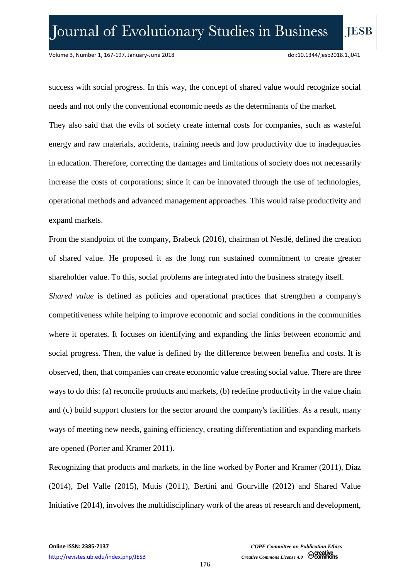success with social progress. In this way, the concept of shared value would recognize social needs and not only the conventional economic needs as the determinants of the market.

They also said that the evils of society create internal costs for companies, such as wasteful energy and raw materials, accidents, training needs and low productivity due to inadequacies in education. Therefore, correcting the damages and limitations of society does not necessarily increase the costs of corporations; since it can be innovated through the use of technologies, operational methods and advanced management approaches. This would raise productivity and expand markets.

From the standpoint of the company, Brabeck (2016), chairman of Nestlé, defined the creation of shared value. He proposed it as the long run sustained commitment to create greater shareholder value. To this, social problems are integrated into the business strategy itself.

*Shared value* is defined as policies and operational practices that strengthen a company's competitiveness while helping to improve economic and social conditions in the communities where it operates. It focuses on identifying and expanding the links between economic and social progress. Then, the value is defined by the difference between benefits and costs. It is observed, then, that companies can create economic value creating social value. There are three ways to do this: (a) reconcile products and markets, (b) redefine productivity in the value chain and (c) build support clusters for the sector around the company's facilities. As a result, many ways of meeting new needs, gaining efficiency, creating differentiation and expanding markets are opened (Porter and Kramer 2011).

Recognizing that products and markets, in the line worked by Porter and Kramer (2011), Diaz (2014), Del Valle (2015), Mutis (2011), Bertini and Gourville (2012) and Shared Value Initiative (2014), involves the multidisciplinary work of the areas of research and development,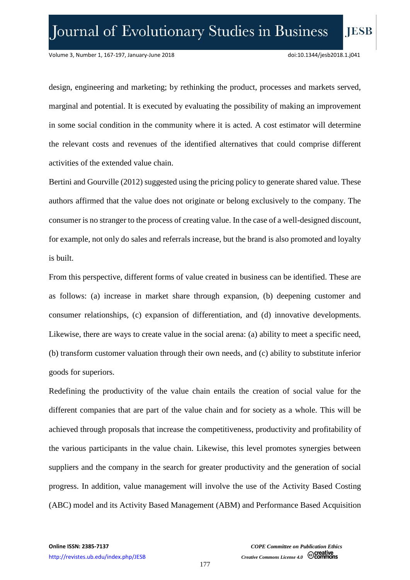design, engineering and marketing; by rethinking the product, processes and markets served, marginal and potential. It is executed by evaluating the possibility of making an improvement in some social condition in the community where it is acted. A cost estimator will determine the relevant costs and revenues of the identified alternatives that could comprise different activities of the extended value chain.

Bertini and Gourville (2012) suggested using the pricing policy to generate shared value. These authors affirmed that the value does not originate or belong exclusively to the company. The consumer is no stranger to the process of creating value. In the case of a well-designed discount, for example, not only do sales and referrals increase, but the brand is also promoted and loyalty is built.

From this perspective, different forms of value created in business can be identified. These are as follows: (a) increase in market share through expansion, (b) deepening customer and consumer relationships, (c) expansion of differentiation, and (d) innovative developments. Likewise, there are ways to create value in the social arena: (a) ability to meet a specific need, (b) transform customer valuation through their own needs, and (c) ability to substitute inferior goods for superiors.

Redefining the productivity of the value chain entails the creation of social value for the different companies that are part of the value chain and for society as a whole. This will be achieved through proposals that increase the competitiveness, productivity and profitability of the various participants in the value chain. Likewise, this level promotes synergies between suppliers and the company in the search for greater productivity and the generation of social progress. In addition, value management will involve the use of the Activity Based Costing (ABC) model and its Activity Based Management (ABM) and Performance Based Acquisition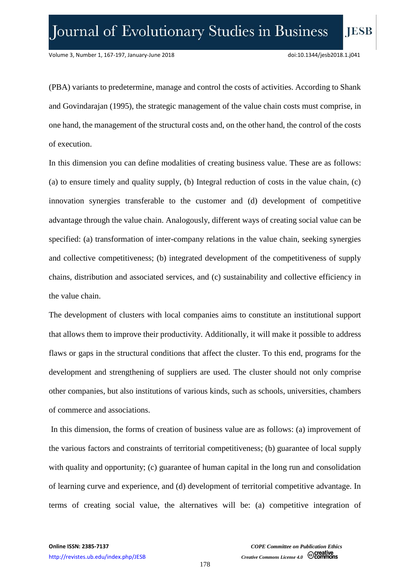(PBA) variants to predetermine, manage and control the costs of activities. According to Shank and Govindarajan (1995), the strategic management of the value chain costs must comprise, in one hand, the management of the structural costs and, on the other hand, the control of the costs of execution.

In this dimension you can define modalities of creating business value. These are as follows: (a) to ensure timely and quality supply, (b) Integral reduction of costs in the value chain, (c) innovation synergies transferable to the customer and (d) development of competitive advantage through the value chain. Analogously, different ways of creating social value can be specified: (a) transformation of inter-company relations in the value chain, seeking synergies and collective competitiveness; (b) integrated development of the competitiveness of supply chains, distribution and associated services, and (c) sustainability and collective efficiency in the value chain.

The development of clusters with local companies aims to constitute an institutional support that allows them to improve their productivity. Additionally, it will make it possible to address flaws or gaps in the structural conditions that affect the cluster. To this end, programs for the development and strengthening of suppliers are used. The cluster should not only comprise other companies, but also institutions of various kinds, such as schools, universities, chambers of commerce and associations.

In this dimension, the forms of creation of business value are as follows: (a) improvement of the various factors and constraints of territorial competitiveness; (b) guarantee of local supply with quality and opportunity; (c) guarantee of human capital in the long run and consolidation of learning curve and experience, and (d) development of territorial competitive advantage. In terms of creating social value, the alternatives will be: (a) competitive integration of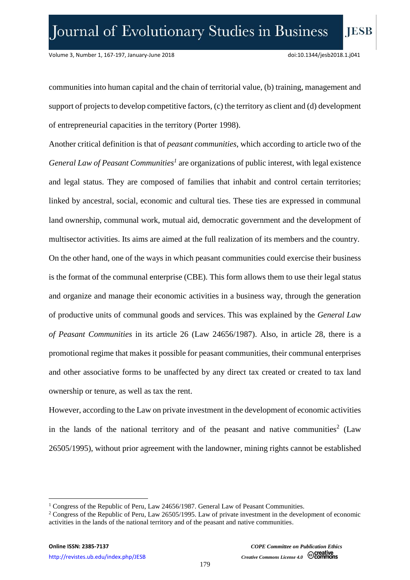communities into human capital and the chain of territorial value, (b) training, management and support of projects to develop competitive factors, (c) the territory as client and (d) development of entrepreneurial capacities in the territory (Porter 1998).

Another critical definition is that of *peasant communities*, which according to article two of the *General Law of Peasant Communities<sup>1</sup>* are organizations of public interest, with legal existence and legal status. They are composed of families that inhabit and control certain territories; linked by ancestral, social, economic and cultural ties. These ties are expressed in communal land ownership, communal work, mutual aid, democratic government and the development of multisector activities. Its aims are aimed at the full realization of its members and the country. On the other hand, one of the ways in which peasant communities could exercise their business is the format of the communal enterprise (CBE). This form allows them to use their legal status and organize and manage their economic activities in a business way, through the generation of productive units of communal goods and services. This was explained by the *General Law of Peasant Communities* in its article 26 (Law 24656/1987). Also, in article 28, there is a promotional regime that makes it possible for peasant communities, their communal enterprises and other associative forms to be unaffected by any direct tax created or created to tax land ownership or tenure, as well as tax the rent.

However, according to the Law on private investment in the development of economic activities in the lands of the national territory and of the peasant and native communities<sup>2</sup> (Law 26505/1995), without prior agreement with the landowner, mining rights cannot be established

 $\overline{a}$ 

<sup>&</sup>lt;sup>1</sup> Congress of the Republic of Peru, Law 24656/1987. General Law of Peasant Communities.

<sup>2</sup> Congress of the Republic of Peru, Law 26505/1995. Law of private investment in the development of economic activities in the lands of the national territory and of the peasant and native communities.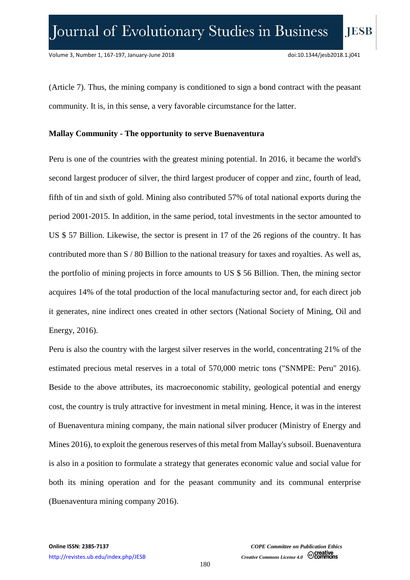(Article 7). Thus, the mining company is conditioned to sign a bond contract with the peasant community. It is, in this sense, a very favorable circumstance for the latter.

#### **Mallay Community - The opportunity to serve Buenaventura**

Peru is one of the countries with the greatest mining potential. In 2016, it became the world's second largest producer of silver, the third largest producer of copper and zinc, fourth of lead, fifth of tin and sixth of gold. Mining also contributed 57% of total national exports during the period 2001-2015. In addition, in the same period, total investments in the sector amounted to US \$ 57 Billion. Likewise, the sector is present in 17 of the 26 regions of the country. It has contributed more than S / 80 Billion to the national treasury for taxes and royalties. As well as, the portfolio of mining projects in force amounts to US \$ 56 Billion. Then, the mining sector acquires 14% of the total production of the local manufacturing sector and, for each direct job it generates, nine indirect ones created in other sectors (National Society of Mining, Oil and Energy, 2016).

Peru is also the country with the largest silver reserves in the world, concentrating 21% of the estimated precious metal reserves in a total of 570,000 metric tons ("SNMPE: Peru" 2016). Beside to the above attributes, its macroeconomic stability, geological potential and energy cost, the country is truly attractive for investment in metal mining. Hence, it was in the interest of Buenaventura mining company, the main national silver producer (Ministry of Energy and Mines 2016), to exploit the generous reserves of this metal from Mallay's subsoil. Buenaventura is also in a position to formulate a strategy that generates economic value and social value for both its mining operation and for the peasant community and its communal enterprise (Buenaventura mining company 2016).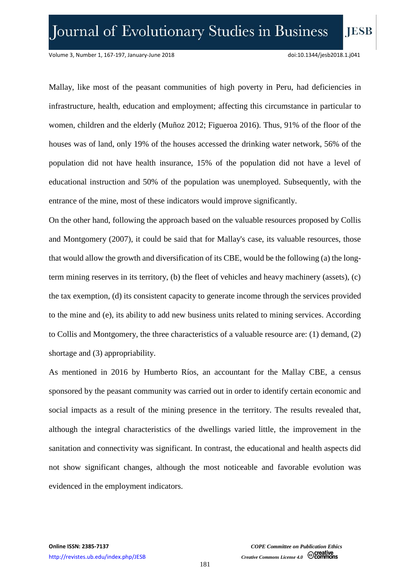Mallay, like most of the peasant communities of high poverty in Peru, had deficiencies in infrastructure, health, education and employment; affecting this circumstance in particular to women, children and the elderly (Muñoz 2012; Figueroa 2016). Thus, 91% of the floor of the houses was of land, only 19% of the houses accessed the drinking water network, 56% of the population did not have health insurance, 15% of the population did not have a level of educational instruction and 50% of the population was unemployed. Subsequently, with the entrance of the mine, most of these indicators would improve significantly.

On the other hand, following the approach based on the valuable resources proposed by Collis and Montgomery (2007), it could be said that for Mallay's case, its valuable resources, those that would allow the growth and diversification of its CBE, would be the following (a) the longterm mining reserves in its territory, (b) the fleet of vehicles and heavy machinery (assets), (c) the tax exemption, (d) its consistent capacity to generate income through the services provided to the mine and (e), its ability to add new business units related to mining services. According to Collis and Montgomery, the three characteristics of a valuable resource are: (1) demand, (2) shortage and (3) appropriability.

As mentioned in 2016 by Humberto Ríos, an accountant for the Mallay CBE, a census sponsored by the peasant community was carried out in order to identify certain economic and social impacts as a result of the mining presence in the territory. The results revealed that, although the integral characteristics of the dwellings varied little, the improvement in the sanitation and connectivity was significant. In contrast, the educational and health aspects did not show significant changes, although the most noticeable and favorable evolution was evidenced in the employment indicators.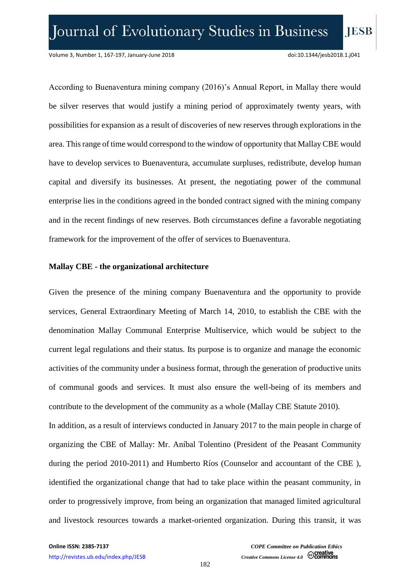According to Buenaventura mining company (2016)'s Annual Report, in Mallay there would be silver reserves that would justify a mining period of approximately twenty years, with possibilities for expansion as a result of discoveries of new reserves through explorations in the area. This range of time would correspond to the window of opportunity that Mallay CBE would have to develop services to Buenaventura, accumulate surpluses, redistribute, develop human capital and diversify its businesses. At present, the negotiating power of the communal enterprise lies in the conditions agreed in the bonded contract signed with the mining company and in the recent findings of new reserves. Both circumstances define a favorable negotiating framework for the improvement of the offer of services to Buenaventura.

#### **Mallay CBE - the organizational architecture**

Given the presence of the mining company Buenaventura and the opportunity to provide services, General Extraordinary Meeting of March 14, 2010, to establish the CBE with the denomination Mallay Communal Enterprise Multiservice, which would be subject to the current legal regulations and their status. Its purpose is to organize and manage the economic activities of the community under a business format, through the generation of productive units of communal goods and services. It must also ensure the well-being of its members and contribute to the development of the community as a whole (Mallay CBE Statute 2010). In addition, as a result of interviews conducted in January 2017 to the main people in charge of organizing the CBE of Mallay: Mr. Aníbal Tolentino (President of the Peasant Community during the period 2010-2011) and Humberto Ríos (Counselor and accountant of the CBE ), identified the organizational change that had to take place within the peasant community, in order to progressively improve, from being an organization that managed limited agricultural and livestock resources towards a market-oriented organization. During this transit, it was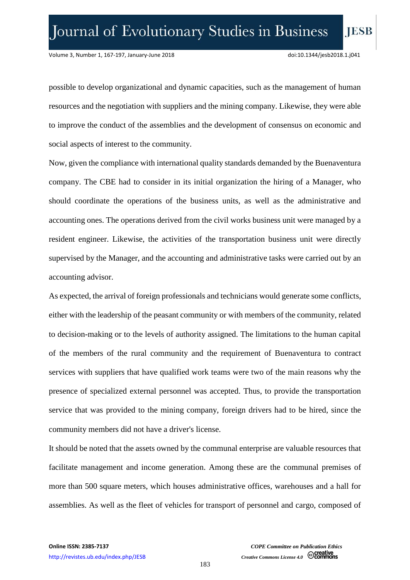possible to develop organizational and dynamic capacities, such as the management of human resources and the negotiation with suppliers and the mining company. Likewise, they were able to improve the conduct of the assemblies and the development of consensus on economic and social aspects of interest to the community.

Now, given the compliance with international quality standards demanded by the Buenaventura company. The CBE had to consider in its initial organization the hiring of a Manager, who should coordinate the operations of the business units, as well as the administrative and accounting ones. The operations derived from the civil works business unit were managed by a resident engineer. Likewise, the activities of the transportation business unit were directly supervised by the Manager, and the accounting and administrative tasks were carried out by an accounting advisor.

As expected, the arrival of foreign professionals and technicians would generate some conflicts, either with the leadership of the peasant community or with members of the community, related to decision-making or to the levels of authority assigned. The limitations to the human capital of the members of the rural community and the requirement of Buenaventura to contract services with suppliers that have qualified work teams were two of the main reasons why the presence of specialized external personnel was accepted. Thus, to provide the transportation service that was provided to the mining company, foreign drivers had to be hired, since the community members did not have a driver's license.

It should be noted that the assets owned by the communal enterprise are valuable resources that facilitate management and income generation. Among these are the communal premises of more than 500 square meters, which houses administrative offices, warehouses and a hall for assemblies. As well as the fleet of vehicles for transport of personnel and cargo, composed of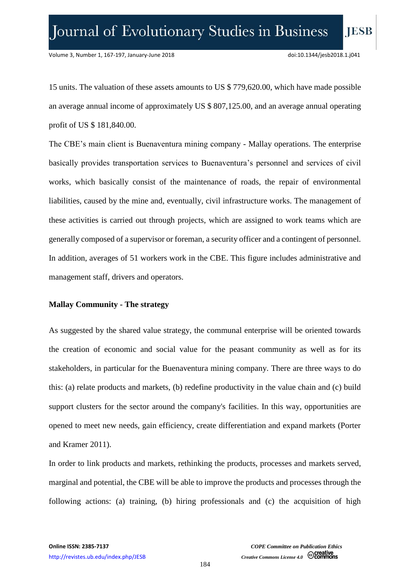15 units. The valuation of these assets amounts to US \$ 779,620.00, which have made possible an average annual income of approximately US \$ 807,125.00, and an average annual operating profit of US \$ 181,840.00.

The CBE's main client is Buenaventura mining company - Mallay operations. The enterprise basically provides transportation services to Buenaventura's personnel and services of civil works, which basically consist of the maintenance of roads, the repair of environmental liabilities, caused by the mine and, eventually, civil infrastructure works. The management of these activities is carried out through projects, which are assigned to work teams which are generally composed of a supervisor or foreman, a security officer and a contingent of personnel. In addition, averages of 51 workers work in the CBE. This figure includes administrative and management staff, drivers and operators.

#### **Mallay Community - The strategy**

As suggested by the shared value strategy, the communal enterprise will be oriented towards the creation of economic and social value for the peasant community as well as for its stakeholders, in particular for the Buenaventura mining company. There are three ways to do this: (a) relate products and markets, (b) redefine productivity in the value chain and (c) build support clusters for the sector around the company's facilities. In this way, opportunities are opened to meet new needs, gain efficiency, create differentiation and expand markets (Porter and Kramer 2011).

In order to link products and markets, rethinking the products, processes and markets served, marginal and potential, the CBE will be able to improve the products and processes through the following actions: (a) training, (b) hiring professionals and (c) the acquisition of high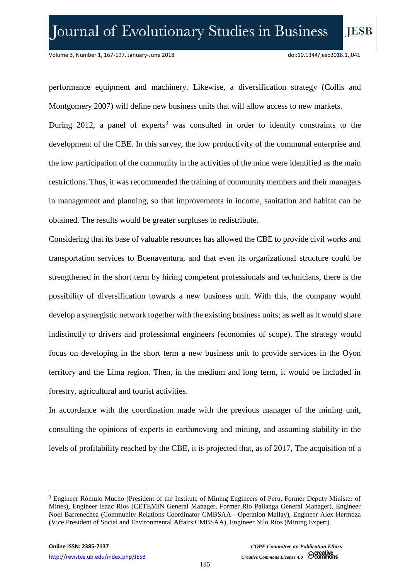performance equipment and machinery. Likewise, a diversification strategy (Collis and Montgomery 2007) will define new business units that will allow access to new markets. During 2012, a panel of experts<sup>3</sup> was consulted in order to identify constraints to the development of the CBE. In this survey, the low productivity of the communal enterprise and the low participation of the community in the activities of the mine were identified as the main restrictions. Thus, it was recommended the training of community members and their managers in management and planning, so that improvements in income, sanitation and habitat can be obtained. The results would be greater surpluses to redistribute.

Considering that its base of valuable resources has allowed the CBE to provide civil works and transportation services to Buenaventura, and that even its organizational structure could be strengthened in the short term by hiring competent professionals and technicians, there is the possibility of diversification towards a new business unit. With this, the company would develop a synergistic network together with the existing business units; as well as it would share indistinctly to drivers and professional engineers (economies of scope). The strategy would focus on developing in the short term a new business unit to provide services in the Oyon territory and the Lima region. Then, in the medium and long term, it would be included in forestry, agricultural and tourist activities.

In accordance with the coordination made with the previous manager of the mining unit, consulting the opinions of experts in earthmoving and mining, and assuming stability in the levels of profitability reached by the CBE, it is projected that, as of 2017, The acquisition of a

 $\overline{\phantom{a}}$ 

<sup>&</sup>lt;sup>3</sup> Engineer Rómulo Mucho (President of the Institute of Mining Engineers of Peru, Former Deputy Minister of Mines), Engineer Isaac Rios (CETEMIN General Manager, Former Rio Pallanga General Manager), Engineer Noel Barrenechea (Community Relations Coordinator CMBSAA - Operation Mallay), Engineer Alex Hermoza (Vice President of Social and Environmental Affairs CMBSAA), Engineer Nilo Ríos (Mining Expert).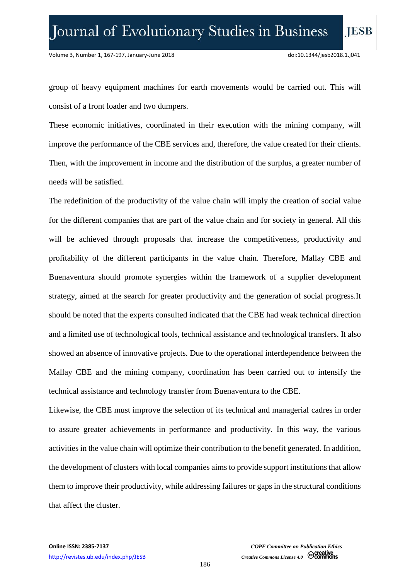group of heavy equipment machines for earth movements would be carried out. This will consist of a front loader and two dumpers.

These economic initiatives, coordinated in their execution with the mining company, will improve the performance of the CBE services and, therefore, the value created for their clients. Then, with the improvement in income and the distribution of the surplus, a greater number of needs will be satisfied.

The redefinition of the productivity of the value chain will imply the creation of social value for the different companies that are part of the value chain and for society in general. All this will be achieved through proposals that increase the competitiveness, productivity and profitability of the different participants in the value chain. Therefore, Mallay CBE and Buenaventura should promote synergies within the framework of a supplier development strategy, aimed at the search for greater productivity and the generation of social progress.It should be noted that the experts consulted indicated that the CBE had weak technical direction and a limited use of technological tools, technical assistance and technological transfers. It also showed an absence of innovative projects. Due to the operational interdependence between the Mallay CBE and the mining company, coordination has been carried out to intensify the technical assistance and technology transfer from Buenaventura to the CBE.

Likewise, the CBE must improve the selection of its technical and managerial cadres in order to assure greater achievements in performance and productivity. In this way, the various activities in the value chain will optimize their contribution to the benefit generated. In addition, the development of clusters with local companies aims to provide support institutions that allow them to improve their productivity, while addressing failures or gaps in the structural conditions that affect the cluster.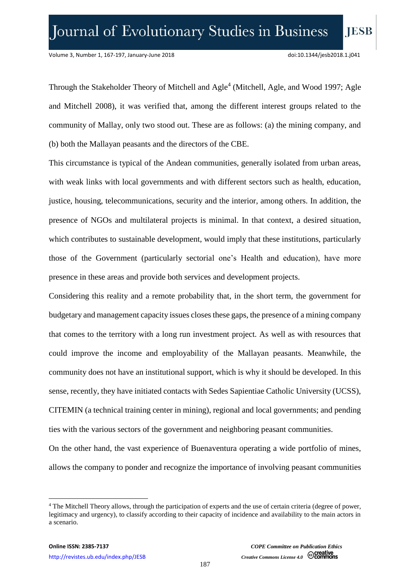Through the Stakeholder Theory of Mitchell and Agle<sup>4</sup> (Mitchell, Agle, and Wood 1997; Agle and Mitchell 2008), it was verified that, among the different interest groups related to the community of Mallay, only two stood out. These are as follows: (a) the mining company, and (b) both the Mallayan peasants and the directors of the CBE.

This circumstance is typical of the Andean communities, generally isolated from urban areas, with weak links with local governments and with different sectors such as health, education, justice, housing, telecommunications, security and the interior, among others. In addition, the presence of NGOs and multilateral projects is minimal. In that context, a desired situation, which contributes to sustainable development, would imply that these institutions, particularly those of the Government (particularly sectorial one's Health and education), have more presence in these areas and provide both services and development projects.

Considering this reality and a remote probability that, in the short term, the government for budgetary and management capacity issues closes these gaps, the presence of a mining company that comes to the territory with a long run investment project. As well as with resources that could improve the income and employability of the Mallayan peasants. Meanwhile, the community does not have an institutional support, which is why it should be developed. In this sense, recently, they have initiated contacts with Sedes Sapientiae Catholic University (UCSS), CITEMIN (a technical training center in mining), regional and local governments; and pending ties with the various sectors of the government and neighboring peasant communities.

On the other hand, the vast experience of Buenaventura operating a wide portfolio of mines, allows the company to ponder and recognize the importance of involving peasant communities

 $\overline{a}$ 

<sup>4</sup> The Mitchell Theory allows, through the participation of experts and the use of certain criteria (degree of power, legitimacy and urgency), to classify according to their capacity of incidence and availability to the main actors in a scenario.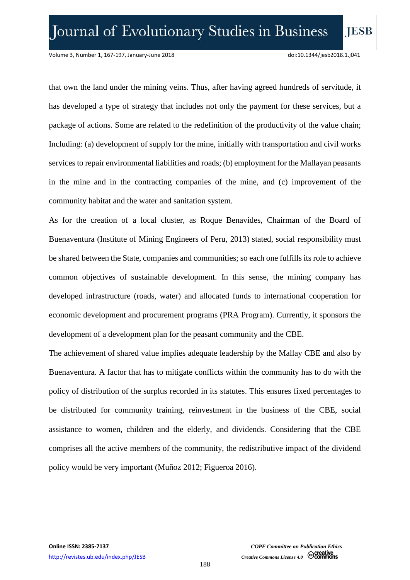that own the land under the mining veins. Thus, after having agreed hundreds of servitude, it has developed a type of strategy that includes not only the payment for these services, but a package of actions. Some are related to the redefinition of the productivity of the value chain; Including: (a) development of supply for the mine, initially with transportation and civil works services to repair environmental liabilities and roads; (b) employment for the Mallayan peasants in the mine and in the contracting companies of the mine, and (c) improvement of the community habitat and the water and sanitation system.

As for the creation of a local cluster, as Roque Benavides, Chairman of the Board of Buenaventura (Institute of Mining Engineers of Peru, 2013) stated, social responsibility must be shared between the State, companies and communities; so each one fulfills its role to achieve common objectives of sustainable development. In this sense, the mining company has developed infrastructure (roads, water) and allocated funds to international cooperation for economic development and procurement programs (PRA Program). Currently, it sponsors the development of a development plan for the peasant community and the CBE.

The achievement of shared value implies adequate leadership by the Mallay CBE and also by Buenaventura. A factor that has to mitigate conflicts within the community has to do with the policy of distribution of the surplus recorded in its statutes. This ensures fixed percentages to be distributed for community training, reinvestment in the business of the CBE, social assistance to women, children and the elderly, and dividends. Considering that the CBE comprises all the active members of the community, the redistributive impact of the dividend policy would be very important (Muñoz 2012; Figueroa 2016).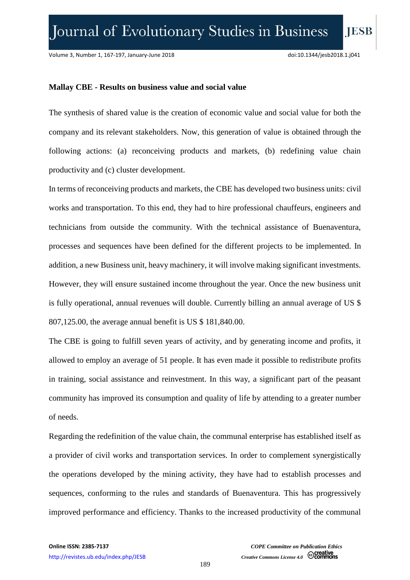**IESB** 

#### **Mallay CBE - Results on business value and social value**

The synthesis of shared value is the creation of economic value and social value for both the company and its relevant stakeholders. Now, this generation of value is obtained through the following actions: (a) reconceiving products and markets, (b) redefining value chain productivity and (c) cluster development.

In terms of reconceiving products and markets, the CBE has developed two business units: civil works and transportation. To this end, they had to hire professional chauffeurs, engineers and technicians from outside the community. With the technical assistance of Buenaventura, processes and sequences have been defined for the different projects to be implemented. In addition, a new Business unit, heavy machinery, it will involve making significant investments. However, they will ensure sustained income throughout the year. Once the new business unit is fully operational, annual revenues will double. Currently billing an annual average of US \$ 807,125.00, the average annual benefit is US \$ 181,840.00.

The CBE is going to fulfill seven years of activity, and by generating income and profits, it allowed to employ an average of 51 people. It has even made it possible to redistribute profits in training, social assistance and reinvestment. In this way, a significant part of the peasant community has improved its consumption and quality of life by attending to a greater number of needs.

Regarding the redefinition of the value chain, the communal enterprise has established itself as a provider of civil works and transportation services. In order to complement synergistically the operations developed by the mining activity, they have had to establish processes and sequences, conforming to the rules and standards of Buenaventura. This has progressively improved performance and efficiency. Thanks to the increased productivity of the communal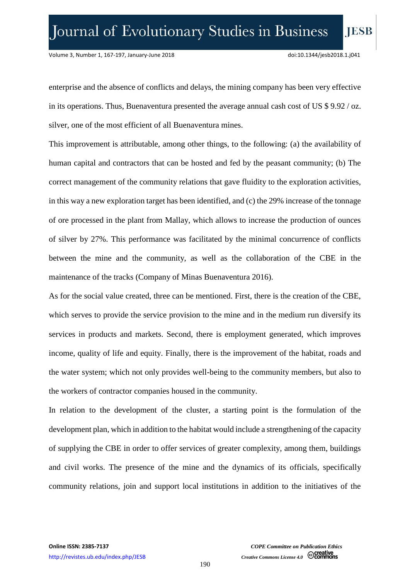enterprise and the absence of conflicts and delays, the mining company has been very effective in its operations. Thus, Buenaventura presented the average annual cash cost of US \$ 9.92 / oz. silver, one of the most efficient of all Buenaventura mines.

This improvement is attributable, among other things, to the following: (a) the availability of human capital and contractors that can be hosted and fed by the peasant community; (b) The correct management of the community relations that gave fluidity to the exploration activities, in this way a new exploration target has been identified, and (c) the 29% increase of the tonnage of ore processed in the plant from Mallay, which allows to increase the production of ounces of silver by 27%. This performance was facilitated by the minimal concurrence of conflicts between the mine and the community, as well as the collaboration of the CBE in the maintenance of the tracks (Company of Minas Buenaventura 2016).

As for the social value created, three can be mentioned. First, there is the creation of the CBE, which serves to provide the service provision to the mine and in the medium run diversify its services in products and markets. Second, there is employment generated, which improves income, quality of life and equity. Finally, there is the improvement of the habitat, roads and the water system; which not only provides well-being to the community members, but also to the workers of contractor companies housed in the community.

In relation to the development of the cluster, a starting point is the formulation of the development plan, which in addition to the habitat would include a strengthening of the capacity of supplying the CBE in order to offer services of greater complexity, among them, buildings and civil works. The presence of the mine and the dynamics of its officials, specifically community relations, join and support local institutions in addition to the initiatives of the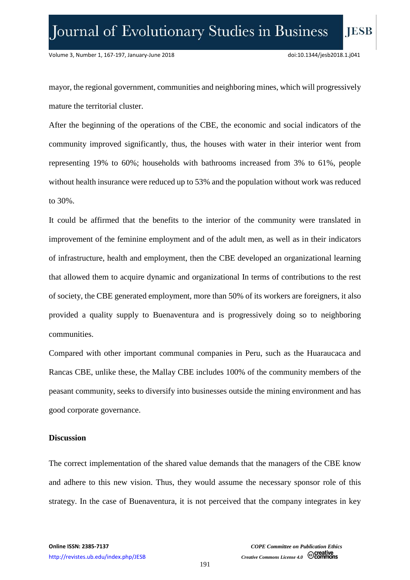mayor, the regional government, communities and neighboring mines, which will progressively mature the territorial cluster.

After the beginning of the operations of the CBE, the economic and social indicators of the community improved significantly, thus, the houses with water in their interior went from representing 19% to 60%; households with bathrooms increased from 3% to 61%, people without health insurance were reduced up to 53% and the population without work was reduced to 30%.

It could be affirmed that the benefits to the interior of the community were translated in improvement of the feminine employment and of the adult men, as well as in their indicators of infrastructure, health and employment, then the CBE developed an organizational learning that allowed them to acquire dynamic and organizational In terms of contributions to the rest of society, the CBE generated employment, more than 50% of its workers are foreigners, it also provided a quality supply to Buenaventura and is progressively doing so to neighboring communities.

Compared with other important communal companies in Peru, such as the Huaraucaca and Rancas CBE, unlike these, the Mallay CBE includes 100% of the community members of the peasant community, seeks to diversify into businesses outside the mining environment and has good corporate governance.

#### **Discussion**

The correct implementation of the shared value demands that the managers of the CBE know and adhere to this new vision. Thus, they would assume the necessary sponsor role of this strategy. In the case of Buenaventura, it is not perceived that the company integrates in key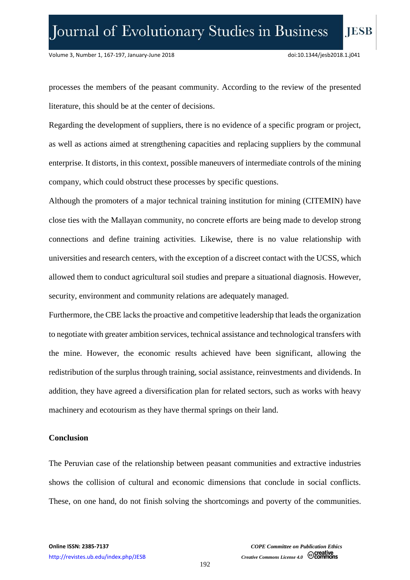processes the members of the peasant community. According to the review of the presented literature, this should be at the center of decisions.

Regarding the development of suppliers, there is no evidence of a specific program or project, as well as actions aimed at strengthening capacities and replacing suppliers by the communal enterprise. It distorts, in this context, possible maneuvers of intermediate controls of the mining company, which could obstruct these processes by specific questions.

Although the promoters of a major technical training institution for mining (CITEMIN) have close ties with the Mallayan community, no concrete efforts are being made to develop strong connections and define training activities. Likewise, there is no value relationship with universities and research centers, with the exception of a discreet contact with the UCSS, which allowed them to conduct agricultural soil studies and prepare a situational diagnosis. However, security, environment and community relations are adequately managed.

Furthermore, the CBE lacks the proactive and competitive leadership that leads the organization to negotiate with greater ambition services, technical assistance and technological transfers with the mine. However, the economic results achieved have been significant, allowing the redistribution of the surplus through training, social assistance, reinvestments and dividends. In addition, they have agreed a diversification plan for related sectors, such as works with heavy machinery and ecotourism as they have thermal springs on their land.

#### **Conclusion**

The Peruvian case of the relationship between peasant communities and extractive industries shows the collision of cultural and economic dimensions that conclude in social conflicts. These, on one hand, do not finish solving the shortcomings and poverty of the communities.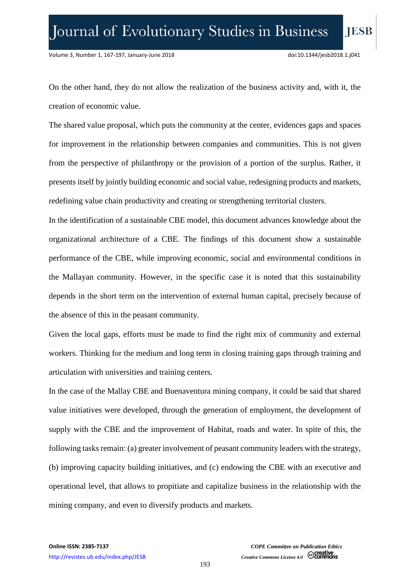On the other hand, they do not allow the realization of the business activity and, with it, the creation of economic value.

The shared value proposal, which puts the community at the center, evidences gaps and spaces for improvement in the relationship between companies and communities. This is not given from the perspective of philanthropy or the provision of a portion of the surplus. Rather, it presents itself by jointly building economic and social value, redesigning products and markets, redefining value chain productivity and creating or strengthening territorial clusters.

In the identification of a sustainable CBE model, this document advances knowledge about the organizational architecture of a CBE. The findings of this document show a sustainable performance of the CBE, while improving economic, social and environmental conditions in the Mallayan community. However, in the specific case it is noted that this sustainability depends in the short term on the intervention of external human capital, precisely because of the absence of this in the peasant community.

Given the local gaps, efforts must be made to find the right mix of community and external workers. Thinking for the medium and long term in closing training gaps through training and articulation with universities and training centers.

In the case of the Mallay CBE and Buenaventura mining company, it could be said that shared value initiatives were developed, through the generation of employment, the development of supply with the CBE and the improvement of Habitat, roads and water. In spite of this, the following tasks remain: (a) greater involvement of peasant community leaders with the strategy, (b) improving capacity building initiatives, and (c) endowing the CBE with an executive and operational level, that allows to propitiate and capitalize business in the relationship with the mining company, and even to diversify products and markets.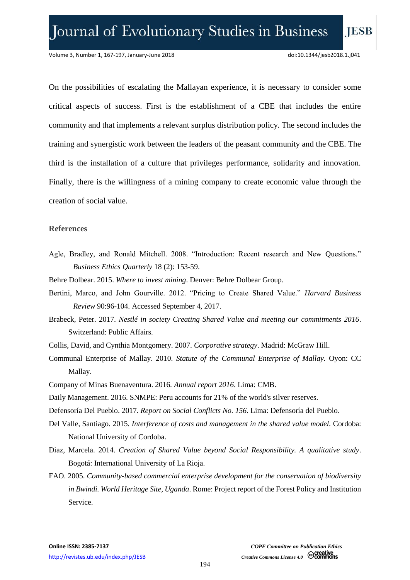On the possibilities of escalating the Mallayan experience, it is necessary to consider some critical aspects of success. First is the establishment of a CBE that includes the entire community and that implements a relevant surplus distribution policy. The second includes the training and synergistic work between the leaders of the peasant community and the CBE. The third is the installation of a culture that privileges performance, solidarity and innovation. Finally, there is the willingness of a mining company to create economic value through the creation of social value.

#### **References**

- Agle, Bradley, and Ronald Mitchell. 2008. "Introduction: Recent research and New Questions." *Business Ethics Quarterly* 18 (2): 153-59.
- Behre Dolbear. 2015. *Where to invest mining*. Denver: Behre Dolbear Group.
- Bertini, Marco, and John Gourville. 2012. "Pricing to Create Shared Value." *Harvard Business Review* 90:96-104. Accessed September 4, 2017.
- Brabeck, Peter. 2017*. Nestlé in society Creating Shared Value and meeting our commitments 2016*. Switzerland: Public Affairs.
- Collis, David, and Cynthia Montgomery. 2007. *Corporative strategy*. Madrid: McGraw Hill.
- Communal Enterprise of Mallay. 2010. *Statute of the Communal Enterprise of Mallay.* Oyon: CC Mallay.
- Company of Minas Buenaventura. 2016*. Annual report 2016*. Lima: CMB.
- Daily Management. 2016. SNMPE: Peru accounts for 21% of the world's silver reserves.
- Defensoría Del Pueblo. 2017*. Report on Social Conflicts No. 156*. Lima: Defensoría del Pueblo.
- Del Valle, Santiago. 2015. *Interference of costs and management in the shared value model.* Cordoba: National University of Cordoba.
- Diaz, Marcela. 2014. *Creation of Shared Value beyond Social Responsibility. A qualitative study*. Bogotá: International University of La Rioja.
- FAO. 2005. *Community-based commercial enterprise development for the conservation of biodiversity in Bwindi. World Heritage Site, Uganda*. Rome: Project report of the Forest Policy and Institution Service.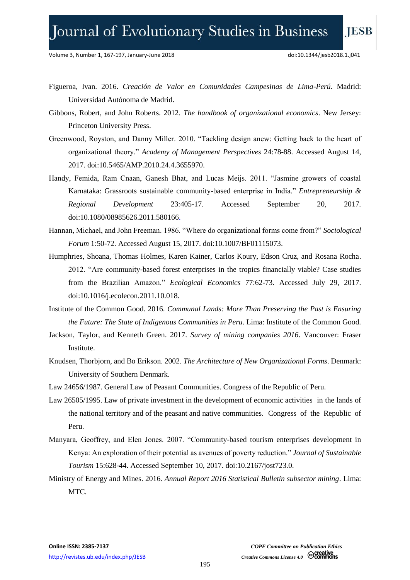# Journal of Evolutionary Studies in Business

Volume 3, Number 1, 167-197, January-June 2018 doi:10.1344/jesb2018.1.j041

- Figueroa, Ivan. 2016. *Creación de Valor en Comunidades Campesinas de Lima-Perú*. Madrid: Universidad Autónoma de Madrid.
- Gibbons, Robert, and John Roberts. 2012. *The handbook of organizational economics*. New Jersey: Princeton University Press.
- Greenwood, Royston, and Danny Miller. 2010. "Tackling design anew: Getting back to the heart of organizational theory." *Academy of Management Perspectives* 24:78-88. Accessed August 14, 2017. doi:10.5465/AMP.2010.24.4.3655970.
- Handy, Femida, Ram Cnaan, Ganesh Bhat, and Lucas Meijs. 2011. "Jasmine growers of coastal Karnataka: Grassroots sustainable community-based enterprise in India." *Entrepreneurship & Regional Development* 23:405-17. Accessed September 20, 2017. doi:10.1080/08985626.2011.580166.
- Hannan, Michael, and John Freeman. 1986. "Where do organizational forms come from?" *Sociological Forum* 1:50-72. Accessed August 15, 2017. doi:10.1007/BF01115073.
- Humphries, Shoana, Thomas Holmes, Karen Kainer, Carlos Koury, Edson Cruz, and Rosana Rocha. 2012. "Are community-based forest enterprises in the tropics financially viable? Case studies from the Brazilian Amazon." *Ecological Economics* 77:62-73. Accessed July 29, 2017. doi:10.1016/j.ecolecon.2011.10.018.
- Institute of the Common Good. 2016. *Communal Lands: More Than Preserving the Past is Ensuring the Future: The State of Indigenous Communities in Peru*. Lima: Institute of the Common Good.
- Jackson, Taylor, and Kenneth Green. 2017. *Survey of mining companies 2016*. Vancouver: Fraser Institute.
- Knudsen, Thorbjorn, and Bo Erikson. 2002. *The Architecture of New Organizational Forms*. Denmark: University of Southern Denmark.
- Law 24656/1987. General Law of Peasant Communities. Congress of the Republic of Peru.
- Law 26505/1995. Law of private investment in the development of economic activities in the lands of the national territory and of the peasant and native communities. Congress of the Republic of Peru.
- Manyara, Geoffrey, and Elen Jones. 2007. "Community-based tourism enterprises development in Kenya: An exploration of their potential as avenues of poverty reduction." *Journal of Sustainable Tourism* 15:628-44. Accessed September 10, 2017. [doi:10.2167/jost723.0.](http://dx.doi.org/10.2167/jost723.0)
- Ministry of Energy and Mines. 2016*. Annual Report 2016 Statistical Bulletin subsector mining*. Lima: MTC.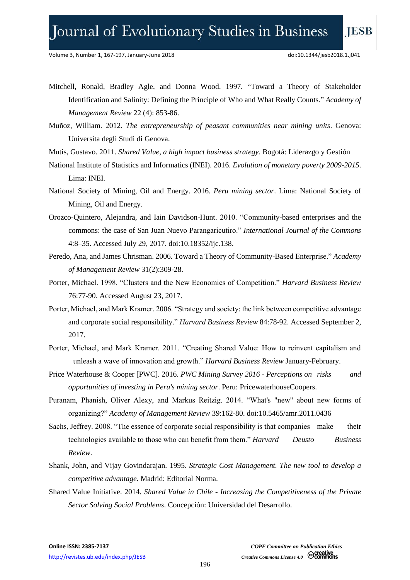- Mitchell, Ronald, Bradley Agle, and Donna Wood. 1997. "Toward a Theory of Stakeholder Identification and Salinity: Defining the Principle of Who and What Really Counts." *Academy of Management Review* 22 (4): 853-86.
- Muñoz, William. 2012. *The entrepreneurship of peasant communities near mining units*. Genova: Universita degli Studi di Genova.
- Mutis, Gustavo. 2011. *Shared Value, a high impact business strategy*. Bogotá: Liderazgo y Gestión
- National Institute of Statistics and Informatics (INEI). 2016. *Evolution of monetary poverty 2009-2015*. Lima: INEI.
- National Society of Mining, Oil and Energy. 2016. *Peru mining sector*. Lima: National Society of Mining, Oil and Energy.
- Orozco-Quintero, Alejandra, and Iain Davidson-Hunt. 2010. "Community-based enterprises and the commons: the case of San Juan Nuevo Parangaricutiro." *International Journal of the Commons* 4:8–35. Accessed July 29, 2017. doi:10.18352/ijc.138.
- Peredo, Ana, and James Chrisman. 2006. Toward a Theory of Community-Based Enterprise." *Academy of Management Review* 31(2):309-28.
- Porter, Michael. 1998. "Clusters and the New Economics of Competition." *Harvard Business Review* 76:77-90. Accessed August 23, 2017.
- Porter, Michael, and Mark Kramer. 2006. "Strategy and society: the link between competitive advantage and corporate social responsibility." *Harvard Business Review* 84:78-92. Accessed September 2, 2017.
- Porter, Michael, and Mark Kramer. 2011. "Creating Shared Value: How to reinvent capitalism and unleash a wave of innovation and growth." *Harvard Business Review* January-February.
- Price Waterhouse & Cooper [PWC]. 2016. *PWC Mining Survey 2016 - Perceptions on risks and opportunities of investing in Peru's mining sector*. Peru: PricewaterhouseCoopers.
- Puranam, Phanish, Oliver Alexy, and Markus Reitzig. 2014. "What's "new" about new forms of organizing?" *Academy of Management Review* 39:162-80. doi:10.5465/amr.2011.0436
- Sachs, Jeffrey. 2008. "The essence of corporate social responsibility is that companies make their technologies available to those who can benefit from them." *Harvard Deusto Business Review*.
- Shank, John, and Vijay Govindarajan. 1995. *Strategic Cost Management. The new tool to develop a competitive advantage.* Madrid: Editorial Norma.
- Shared Value Initiative. 2014. *Shared Value in Chile - Increasing the Competitiveness of the Private Sector Solving Social Problems*. Concepción: Universidad del Desarrollo.